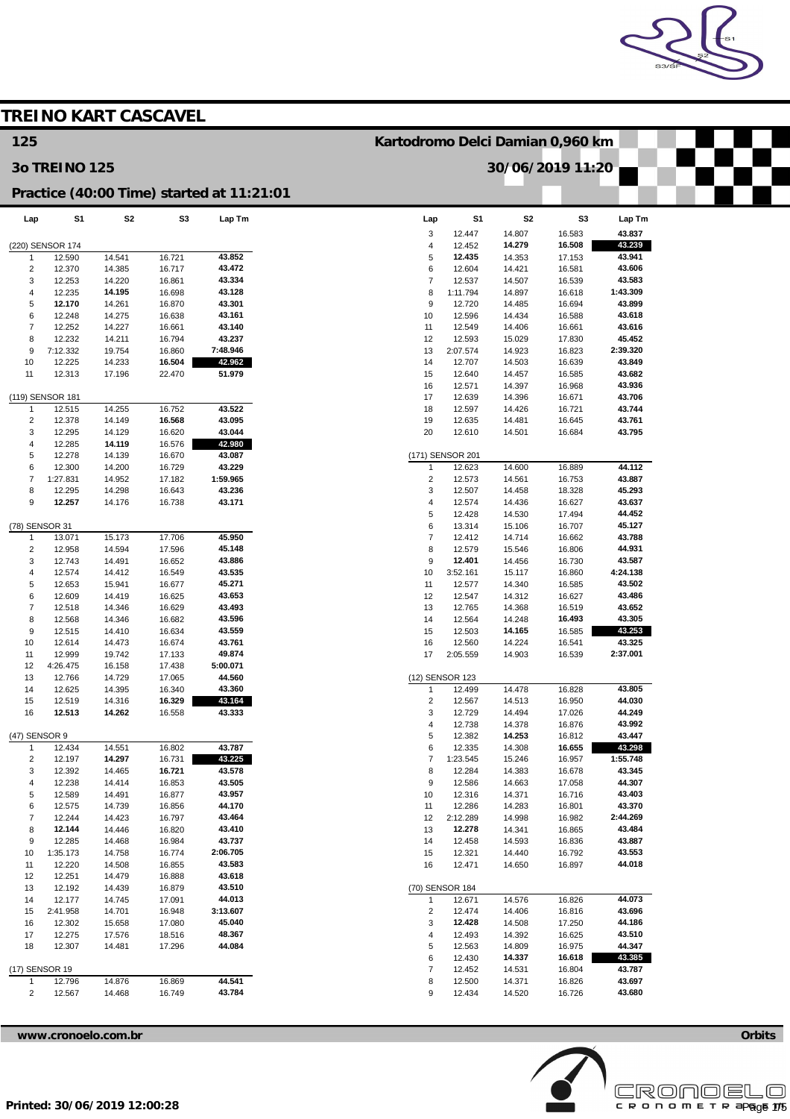

|                         |                            |                  | <b>TREINO KART CASCAVEL</b> |                                           |                                             |                    |                  |                  |                    |  |
|-------------------------|----------------------------|------------------|-----------------------------|-------------------------------------------|---------------------------------------------|--------------------|------------------|------------------|--------------------|--|
| 125                     |                            |                  |                             |                                           | Kartodromo Delci Damian 0,960 km            |                    |                  |                  |                    |  |
|                         | <b>30 TREINO 125</b>       |                  |                             |                                           |                                             |                    | 30/06/2019 11:20 |                  |                    |  |
|                         |                            |                  |                             | Practice (40:00 Time) started at 11:21:01 |                                             |                    |                  |                  |                    |  |
| Lap                     | S1                         | S <sub>2</sub>   | S <sub>3</sub>              | Lap Tm                                    | Lap                                         | S <sub>1</sub>     | S <sub>2</sub>   | S3               | Lap Tm             |  |
|                         |                            |                  |                             |                                           | 3                                           | 12.447             | 14.807           | 16.583           | 43.837             |  |
| 1                       | (220) SENSOR 174<br>12.590 | 14.541           | 16.721                      | 43.852                                    | $\overline{4}$<br>5                         | 12.452<br>12.435   | 14.279<br>14.353 | 16.508<br>17.153 | 43.239<br>43.941   |  |
| $\overline{c}$          | 12.370                     | 14.385           | 16.717                      | 43.472                                    | 6                                           | 12.604             | 14.421           | 16.581           | 43.606             |  |
| 3                       | 12.253                     | 14.220           | 16.861                      | 43.334                                    | $\overline{7}$                              | 12.537             | 14.507           | 16.539           | 43.583             |  |
| $\overline{4}$          | 12.235                     | 14.195           | 16.698                      | 43.128                                    | 8                                           | 1:11.794           | 14.897           | 16.618           | 1:43.309           |  |
| 5                       | 12.170                     | 14.261           | 16.870                      | 43.301                                    | 9                                           | 12.720             | 14.485           | 16.694           | 43.899             |  |
| 6                       | 12.248                     | 14.275           | 16.638                      | 43.161                                    | 10                                          | 12.596             | 14.434           | 16.588           | 43.618             |  |
| $\overline{7}$<br>8     | 12.252<br>12.232           | 14.227<br>14.211 | 16.661<br>16.794            | 43.140<br>43.237                          | 11<br>12                                    | 12.549<br>12.593   | 14.406<br>15.029 | 16.661<br>17.830 | 43.616<br>45.452   |  |
| 9                       | 7:12.332                   | 19.754           | 16.860                      | 7:48.946                                  | 13                                          | 2:07.574           | 14.923           | 16.823           | 2:39.320           |  |
| 10                      | 12.225                     | 14.233           | 16.504                      | 42.962                                    | 14                                          | 12.707             | 14.503           | 16.639           | 43.849             |  |
| 11                      | 12.313                     | 17.196           | 22.470                      | 51.979                                    | 15                                          | 12.640             | 14.457           | 16.585           | 43.682             |  |
|                         |                            |                  |                             |                                           | 16                                          | 12.571             | 14.397           | 16.968           | 43.936             |  |
|                         | (119) SENSOR 181           |                  |                             |                                           | 17                                          | 12.639             | 14.396           | 16.671           | 43.706             |  |
| -1                      | 12.515                     | 14.255           | 16.752                      | 43.522                                    | 18                                          | 12.597             | 14.426           | 16.721           | 43.744             |  |
| $\overline{c}$<br>3     | 12.378                     | 14.149           | 16.568                      | 43.095<br>43.044                          | 19<br>20                                    | 12.635             | 14.481           | 16.645           | 43.761<br>43.795   |  |
| $\overline{4}$          | 12.295<br>12.285           | 14.129<br>14.119 | 16.620<br>16.576            | 42.980                                    |                                             | 12.610             | 14.501           | 16.684           |                    |  |
| 5                       | 12.278                     | 14.139           | 16.670                      | 43.087                                    |                                             | (171) SENSOR 201   |                  |                  |                    |  |
| 6                       | 12.300                     | 14.200           | 16.729                      | 43.229                                    | 1                                           | 12.623             | 14.600           | 16.889           | 44.112             |  |
| $\overline{7}$          | 1:27.831                   | 14.952           | 17.182                      | 1:59.965                                  | $\overline{2}$                              | 12.573             | 14.561           | 16.753           | 43.887             |  |
| 8                       | 12.295                     | 14.298           | 16.643                      | 43.236                                    | 3                                           | 12.507             | 14.458           | 18.328           | 45.293             |  |
| 9                       | 12.257                     | 14.176           | 16.738                      | 43.171                                    | $\overline{4}$                              | 12.574             | 14.436           | 16.627           | 43.637             |  |
|                         |                            |                  |                             |                                           | 5                                           | 12.428             | 14.530           | 17.494           | 44.452             |  |
| (78) SENSOR 31<br>-1    | 13.071                     | 15.173           | 17.706                      | 45.950                                    | 6<br>$\overline{7}$                         | 13.314<br>12.412   | 15.106<br>14.714 | 16.707<br>16.662 | 45.127<br>43.788   |  |
| $\overline{2}$          | 12.958                     | 14.594           | 17.596                      | 45.148                                    | 8                                           | 12.579             | 15.546           | 16.806           | 44.931             |  |
| 3                       | 12.743                     | 14.491           | 16.652                      | 43.886                                    | 9                                           | 12.401             | 14.456           | 16.730           | 43.587             |  |
| 4                       | 12.574                     | 14.412           | 16.549                      | 43.535                                    | 10                                          | 3:52.161           | 15.117           | 16.860           | 4:24.138           |  |
| 5                       | 12.653                     | 15.941           | 16.677                      | 45.271                                    | 11                                          | 12.577             | 14.340           | 16.585           | 43.502             |  |
| 6                       | 12.609                     | 14.419           | 16.625                      | 43.653                                    | 12                                          | 12.547             | 14.312           | 16.627           | 43.486             |  |
| $\overline{7}$          | 12.518                     | 14.346           | 16.629                      | 43.493                                    | 13                                          | 12.765             | 14.368           | 16.519           | 43.652             |  |
| 8<br>9                  | 12.568<br>12.515           | 14.346<br>14.410 | 16.682<br>16.634            | 43.596<br>43.559                          | 14<br>15                                    | 12.564<br>12.503   | 14.248<br>14.165 | 16.493<br>16.585 | 43.305<br>43.253   |  |
| 10                      | 12.614                     | 14.473           | 16.674                      | 43.761                                    | 16                                          | 12.560             | 14.224           | 16.541           | 43.325             |  |
| 11                      | 12.999                     | 19.742           | 17.133                      | 49.874                                    | 17                                          | 2:05.559           | 14.903           | 16.539           | 2:37.001           |  |
| 12                      | 4:26.475                   | 16.158           | 17.438                      | 5:00.071                                  |                                             |                    |                  |                  |                    |  |
| 13                      | 12.766                     | 14.729           | 17.065                      | 44.560                                    |                                             | (12) SENSOR 123    |                  |                  |                    |  |
| 14                      | 12.625                     | 14.395           | 16.340                      | 43.360                                    | $\mathbf{1}$                                | 12.499             | 14.478           | 16.828           | 43.805             |  |
| 15                      | 12.519                     | 14.316           | 16.329                      | 43.164                                    | $\overline{c}$                              | 12.567             | 14.513           | 16.950           | 44.030             |  |
| 16                      | 12.513                     | 14.262           | 16.558                      | 43.333                                    | $\ensuremath{\mathsf{3}}$<br>$\overline{4}$ | 12.729<br>12.738   | 14.494<br>14.378 | 17.026<br>16.876 | 44.249<br>43.992   |  |
| (47) SENSOR 9           |                            |                  |                             |                                           | 5                                           | 12.382             | 14.253           | 16.812           | 43.447             |  |
| $\mathbf 1$             | 12.434                     | 14.551           | 16.802                      | 43.787                                    | 6                                           | 12.335             | 14.308           | 16.655           | 43.298             |  |
| $\overline{c}$          | 12.197                     | 14.297           | 16.731                      | 43.225                                    | $\overline{7}$                              | 1:23.545           | 15.246           | 16.957           | 1:55.748           |  |
| 3                       | 12.392                     | 14.465           | 16.721                      | 43.578                                    | 8                                           | 12.284             | 14.383           | 16.678           | 43.345             |  |
| 4                       | 12.238                     | 14.414           | 16.853                      | 43.505                                    | 9                                           | 12.586             | 14.663           | 17.058           | 44.307             |  |
| 5                       | 12.589                     | 14.491           | 16.877                      | 43.957                                    | 10                                          | 12.316             | 14.371           | 16.716           | 43.403             |  |
| 6<br>$\overline{7}$     | 12.575<br>12.244           | 14.739<br>14.423 | 16.856                      | 44.170<br>43.464                          | 11<br>12                                    | 12.286<br>2:12.289 | 14.283<br>14.998 | 16.801<br>16.982 | 43.370<br>2:44.269 |  |
| 8                       | 12.144                     | 14.446           | 16.797<br>16.820            | 43.410                                    | 13                                          | 12.278             | 14.341           | 16.865           | 43.484             |  |
| 9                       | 12.285                     | 14.468           | 16.984                      | 43.737                                    | 14                                          | 12.458             | 14.593           | 16.836           | 43.887             |  |
| 10                      | 1:35.173                   | 14.758           | 16.774                      | 2:06.705                                  | 15                                          | 12.321             | 14.440           | 16.792           | 43.553             |  |
| 11                      | 12.220                     | 14.508           | 16.855                      | 43.583                                    | 16                                          | 12.471             | 14.650           | 16.897           | 44.018             |  |
| 12                      | 12.251                     | 14.479           | 16.888                      | 43.618                                    |                                             |                    |                  |                  |                    |  |
| 13                      | 12.192                     | 14.439           | 16.879                      | 43.510                                    |                                             | (70) SENSOR 184    |                  |                  |                    |  |
| 14                      | 12.177                     | 14.745           | 17.091                      | 44.013                                    | $\mathbf{1}$                                | 12.671             | 14.576           | 16.826           | 44.073             |  |
| 15                      | 2:41.958<br>12.302         | 14.701           | 16.948<br>17.080            | 3:13.607<br>45.040                        | $\overline{c}$<br>3                         | 12.474<br>12.428   | 14.406<br>14.508 | 16.816<br>17.250 | 43.696<br>44.186   |  |
| 16<br>17                | 12.275                     | 15.658<br>17.576 | 18.516                      | 48.367                                    | $\overline{4}$                              | 12.493             | 14.392           | 16.625           | 43.510             |  |
| 18                      | 12.307                     | 14.481           | 17.296                      | 44.084                                    | 5                                           | 12.563             | 14.809           | 16.975           | 44.347             |  |
|                         |                            |                  |                             |                                           | 6                                           | 12.430             | 14.337           | 16.618           | 43.385             |  |
| (17) SENSOR 19          |                            |                  |                             |                                           | $\overline{7}$                              | 12.452             | 14.531           | 16.804           | 43.787             |  |
| $\mathbf{1}$            | 12.796                     | 14.876           | 16.869                      | 44.541                                    | 8                                           | 12.500             | 14.371           | 16.826           | 43.697             |  |
| $\overline{\mathbf{c}}$ | 12.567                     | 14.468           | 16.749                      | 43.784                                    | 9                                           | 12.434             | 14.520           | 16.726           | 43.680             |  |

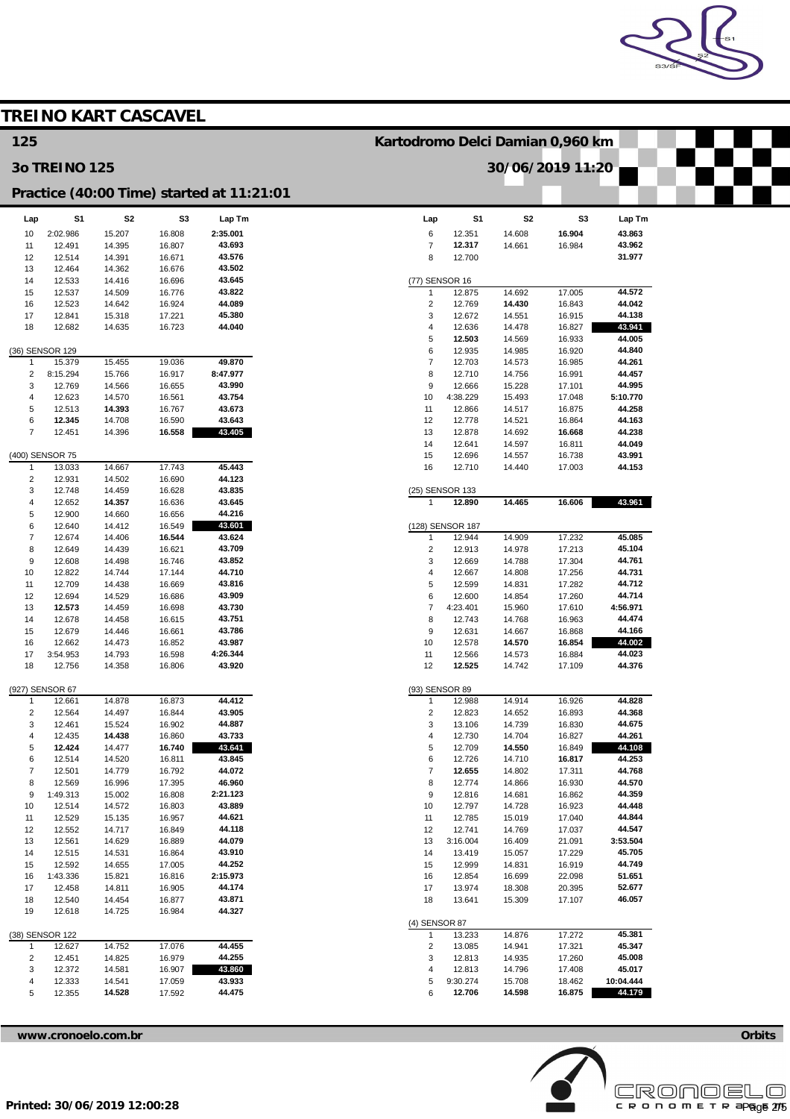

|                         |                           | <b>TREINO KART CASCAVEL</b> |                  |                                           |                                  |                    |                  |                  |                    |  |
|-------------------------|---------------------------|-----------------------------|------------------|-------------------------------------------|----------------------------------|--------------------|------------------|------------------|--------------------|--|
| 125                     |                           |                             |                  |                                           | Kartodromo Delci Damian 0,960 km |                    |                  |                  |                    |  |
|                         | <b>30 TREINO 125</b>      |                             |                  |                                           |                                  |                    | 30/06/2019 11:20 |                  |                    |  |
|                         |                           |                             |                  | Practice (40:00 Time) started at 11:21:01 |                                  |                    |                  |                  |                    |  |
| Lap                     | S <sub>1</sub>            | S <sub>2</sub>              | S3               | Lap Tm                                    | Lap                              | S1                 | S2               | S3               | Lap Tm             |  |
| 10                      | 2:02.986                  | 15.207                      | 16.808           | 2:35.001                                  | 6                                | 12.351             | 14.608           | 16.904           | 43.863             |  |
| 11<br>12                | 12.491<br>12.514          | 14.395<br>14.391            | 16.807<br>16.671 | 43.693<br>43.576                          | $\overline{7}$<br>8              | 12.317<br>12.700   | 14.661           | 16.984           | 43.962<br>31.977   |  |
| 13                      | 12.464                    | 14.362                      | 16.676           | 43.502                                    |                                  |                    |                  |                  |                    |  |
| 14                      | 12.533                    | 14.416                      | 16.696           | 43.645                                    | (77) SENSOR 16                   |                    |                  |                  | 44.572             |  |
| 15<br>16                | 12.537<br>12.523          | 14.509<br>14.642            | 16.776<br>16.924 | 43.822<br>44.089                          | -1<br>$\sqrt{2}$                 | 12.875<br>12.769   | 14.692<br>14.430 | 17.005<br>16.843 | 44.042             |  |
| 17                      | 12.841                    | 15.318                      | 17.221           | 45.380                                    | 3                                | 12.672             | 14.551           | 16.915           | 44.138             |  |
| 18                      | 12.682                    | 14.635                      | 16.723           | 44.040                                    | 4                                | 12.636             | 14.478           | 16.827           | 43.941             |  |
|                         | (36) SENSOR 129           |                             |                  |                                           | 5<br>6                           | 12.503<br>12.935   | 14.569<br>14.985 | 16.933<br>16.920 | 44.005<br>44.840   |  |
| $\mathbf{1}$            | 15.379                    | 15.455                      | 19.036           | 49.870                                    | $\overline{7}$                   | 12.703             | 14.573           | 16.985           | 44.261             |  |
| $\overline{\mathbf{c}}$ | 8:15.294                  | 15.766                      | 16.917           | 8:47.977                                  | 8                                | 12.710             | 14.756           | 16.991           | 44.457             |  |
| 3                       | 12.769                    | 14.566                      | 16.655           | 43.990<br>43.754                          | 9<br>10                          | 12.666             | 15.228           | 17.101           | 44.995<br>5:10.770 |  |
| 4<br>5                  | 12.623<br>12.513          | 14.570<br>14.393            | 16.561<br>16.767 | 43.673                                    | 11                               | 4:38.229<br>12.866 | 15.493<br>14.517 | 17.048<br>16.875 | 44.258             |  |
| 6                       | 12.345                    | 14.708                      | 16.590           | 43.643                                    | 12                               | 12.778             | 14.521           | 16.864           | 44.163             |  |
| $\overline{7}$          | 12.451                    | 14.396                      | 16.558           | 43.405                                    | 13                               | 12.878             | 14.692           | 16.668           | 44.238             |  |
|                         |                           |                             |                  |                                           | 14                               | 12.641             | 14.597           | 16.811           | 44.049             |  |
| $\mathbf{1}$            | (400) SENSOR 75<br>13.033 | 14.667                      | 17.743           | 45.443                                    | 15<br>16                         | 12.696<br>12.710   | 14.557<br>14.440 | 16.738<br>17.003 | 43.991<br>44.153   |  |
| $\overline{\mathbf{c}}$ | 12.931                    | 14.502                      | 16.690           | 44.123                                    |                                  |                    |                  |                  |                    |  |
| 3                       | 12.748                    | 14.459                      | 16.628           | 43.835                                    | (25) SENSOR 133                  |                    |                  |                  |                    |  |
| 4                       | 12.652                    | 14.357                      | 16.636           | 43.645                                    | $\overline{1}$                   | 12.890             | 14.465           | 16.606           | 43.961             |  |
| 5<br>6                  | 12.900<br>12.640          | 14.660<br>14.412            | 16.656<br>16.549 | 44.216<br>43.601                          |                                  | (128) SENSOR 187   |                  |                  |                    |  |
| $\overline{7}$          | 12.674                    | 14.406                      | 16.544           | 43.624                                    | $\overline{1}$                   | 12.944             | 14.909           | 17.232           | 45.085             |  |
| 8                       | 12.649                    | 14.439                      | 16.621           | 43.709                                    | $\overline{2}$                   | 12.913             | 14.978           | 17.213           | 45.104             |  |
| 9                       | 12.608                    | 14.498                      | 16.746           | 43.852                                    | 3                                | 12.669             | 14.788           | 17.304           | 44.761             |  |
| 10<br>11                | 12.822<br>12.709          | 14.744<br>14.438            | 17.144<br>16.669 | 44.710<br>43.816                          | 4<br>5                           | 12.667<br>12.599   | 14.808<br>14.831 | 17.256<br>17.282 | 44.731<br>44.712   |  |
| 12                      | 12.694                    | 14.529                      | 16.686           | 43.909                                    | 6                                | 12.600             | 14.854           | 17.260           | 44.714             |  |
| 13                      | 12.573                    | 14.459                      | 16.698           | 43.730                                    | $\overline{7}$                   | 4:23.401           | 15.960           | 17.610           | 4:56.971           |  |
| 14                      | 12.678                    | 14.458                      | 16.615           | 43.751                                    | 8                                | 12.743             | 14.768           | 16.963           | 44.474             |  |
| 15<br>16                | 12.679<br>12.662          | 14.446<br>14.473            | 16.661<br>16.852 | 43.786<br>43.987                          | 9<br>10                          | 12.631<br>12.578   | 14.667<br>14.570 | 16.868<br>16.854 | 44.166<br>44.002   |  |
| 17                      | 3:54.953                  | 14.793                      | 16.598           | 4:26.344                                  | 11                               | 12.566             | 14.573           | 16.884           | 44.023             |  |
| 18                      | 12.756                    | 14.358                      | 16.806           | 43.920                                    | 12                               | 12.525             | 14.742           | 17.109           | 44.376             |  |
|                         | (927) SENSOR 67           |                             |                  |                                           | (93) SENSOR 89                   |                    |                  |                  |                    |  |
| $\mathbf{1}$            | 12.661                    | 14.878                      | 16.873           | 44.412                                    | -1                               | 12.988             | 14.914           | 16.926           | 44.828             |  |
| $\overline{2}$          | 12.564                    | 14.497                      | 16.844           | 43.905                                    | $\overline{2}$                   | 12.823             | 14.652           | 16.893           | 44.368             |  |
| 3<br>4                  | 12.461<br>12.435          | 15.524<br>14.438            | 16.902<br>16.860 | 44.887<br>43.733                          | 3<br>$\overline{\mathcal{A}}$    | 13.106<br>12.730   | 14.739<br>14.704 | 16.830<br>16.827 | 44.675<br>44.261   |  |
| 5                       | 12.424                    | 14.477                      | 16.740           | 43.641                                    | $\sqrt{5}$                       | 12.709             | 14.550           | 16.849           | 44.108             |  |
| 6                       | 12.514                    | 14.520                      | 16.811           | 43.845                                    | 6                                | 12.726             | 14.710           | 16.817           | 44.253             |  |
| $\overline{7}$          | 12.501                    | 14.779                      | 16.792           | 44.072                                    | $\overline{7}$                   | 12.655             | 14.802           | 17.311           | 44.768             |  |
| 8<br>9                  | 12.569<br>1:49.313        | 16.996<br>15.002            | 17.395<br>16.808 | 46.960<br>2:21.123                        | 8<br>$\boldsymbol{9}$            | 12.774<br>12.816   | 14.866<br>14.681 | 16.930<br>16.862 | 44.570<br>44.359   |  |
| 10                      | 12.514                    | 14.572                      | 16.803           | 43.889                                    | 10                               | 12.797             | 14.728           | 16.923           | 44.448             |  |
| 11                      | 12.529                    | 15.135                      | 16.957           | 44.621                                    | 11                               | 12.785             | 15.019           | 17.040           | 44.844             |  |
| 12                      | 12.552                    | 14.717                      | 16.849           | 44.118                                    | 12                               | 12.741             | 14.769           | 17.037           | 44.547             |  |
| 13<br>14                | 12.561<br>12.515          | 14.629<br>14.531            | 16.889<br>16.864 | 44.079<br>43.910                          | 13<br>14                         | 3:16.004<br>13.419 | 16.409<br>15.057 | 21.091<br>17.229 | 3:53.504<br>45.705 |  |
| 15                      | 12.592                    | 14.655                      | 17.005           | 44.252                                    | 15                               | 12.999             | 14.831           | 16.919           | 44.749             |  |
| 16                      | 1:43.336                  | 15.821                      | 16.816           | 2:15.973                                  | 16                               | 12.854             | 16.699           | 22.098           | 51.651             |  |
| 17                      | 12.458                    | 14.811                      | 16.905           | 44.174                                    | 17                               | 13.974             | 18.308           | 20.395           | 52.677             |  |
| 18<br>19                | 12.540<br>12.618          | 14.454<br>14.725            | 16.877<br>16.984 | 43.871<br>44.327                          | 18                               | 13.641             | 15.309           | 17.107           | 46.057             |  |
|                         |                           |                             |                  |                                           | (4) SENSOR 87                    |                    |                  |                  |                    |  |
| $\mathbf{1}$            | (38) SENSOR 122<br>12.627 | 14.752                      | 17.076           | 44.455                                    | $\mathbf{1}$<br>$\overline{2}$   | 13.233<br>13.085   | 14.876<br>14.941 | 17.272<br>17.321 | 45.381<br>45.347   |  |
| $\sqrt{2}$              | 12.451                    | 14.825                      | 16.979           | 44.255                                    | 3                                | 12.813             | 14.935           | 17.260           | 45.008             |  |
| 3                       | 12.372                    | 14.581                      | 16.907           | 43.860                                    | 4                                | 12.813             | 14.796           | 17.408           | 45.017             |  |
| 4                       | 12.333                    | 14.541                      | 17.059           | 43.933                                    | 5                                | 9:30.274           | 15.708           | 18.462           | 10:04.444          |  |
| 5                       | 12.355                    | 14.528                      | 17.592           | 44.475                                    | 6                                | 12.706             | 14.598           | 16.875           | 44.179             |  |
|                         |                           |                             |                  |                                           |                                  |                    |                  |                  |                    |  |

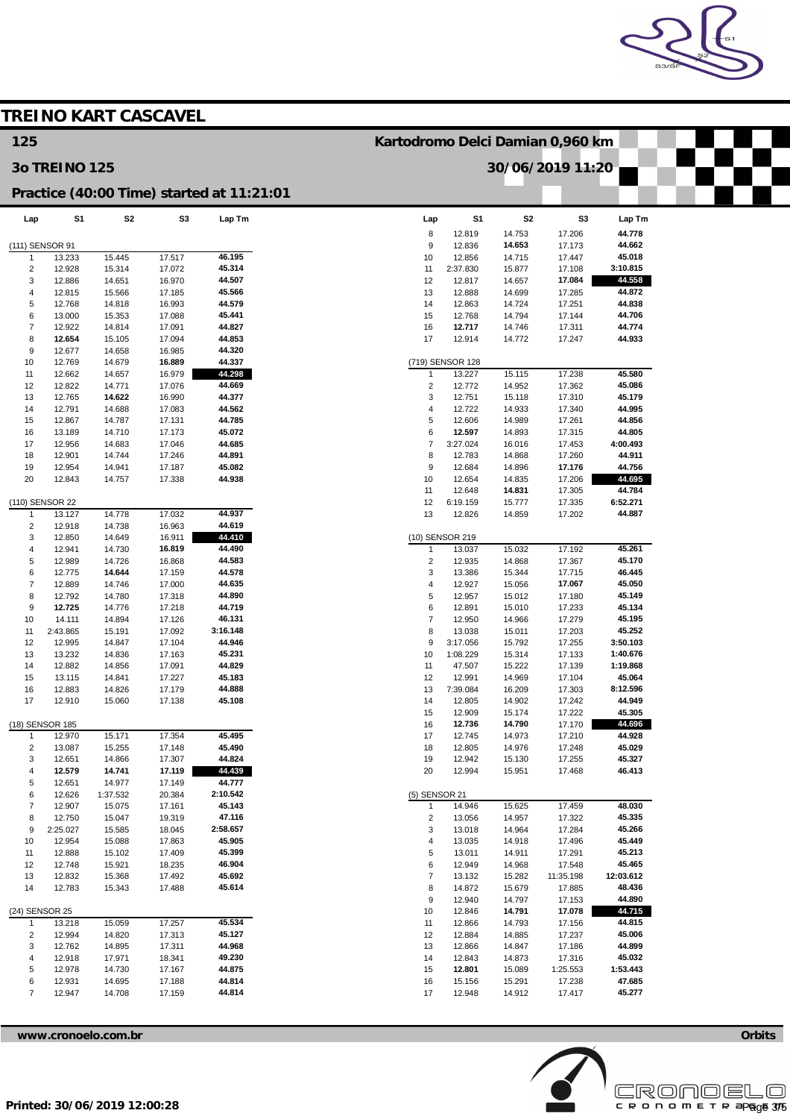

|                         |                      | <b>TREINO KART CASCAVEL</b> |                  |                                           |                                  |                           |                  |                     |                  |  |
|-------------------------|----------------------|-----------------------------|------------------|-------------------------------------------|----------------------------------|---------------------------|------------------|---------------------|------------------|--|
| 125                     |                      |                             |                  |                                           | Kartodromo Delci Damian 0,960 km |                           |                  |                     |                  |  |
|                         | <b>30 TREINO 125</b> |                             |                  |                                           |                                  |                           | 30/06/2019 11:20 |                     |                  |  |
|                         |                      |                             |                  | Practice (40:00 Time) started at 11:21:01 |                                  |                           |                  |                     |                  |  |
| Lap                     | S <sub>1</sub>       | S <sub>2</sub>              | S <sub>3</sub>   | Lap Tm                                    | Lap                              | S <sub>1</sub>            | S <sub>2</sub>   | S3                  | Lap Tm           |  |
|                         | (111) SENSOR 91      |                             |                  |                                           | 8<br>9                           | 12.819<br>12.836          | 14.753<br>14.653 | 17.206<br>17.173    | 44.778<br>44.662 |  |
| $\overline{1}$          | 13.233               | 15.445                      | 17.517           | 46.195                                    | 10                               | 12.856                    | 14.715           | 17.447              | 45.018           |  |
| $\sqrt{2}$              | 12.928               | 15.314                      | 17.072           | 45.314                                    | 11                               | 2:37.830                  | 15.877           | 17.108              | 3:10.815         |  |
| 3                       | 12.886               | 14.651                      | 16.970           | 44.507                                    | 12                               | 12.817                    | 14.657           | 17.084              | 44.558           |  |
| $\overline{4}$          | 12.815               | 15.566                      | 17.185           | 45.566<br>44.579                          | 13                               | 12.888                    | 14.699           | 17.285              | 44.872<br>44.838 |  |
| 5<br>6                  | 12.768<br>13.000     | 14.818<br>15.353            | 16.993<br>17.088 | 45.441                                    | 14<br>15                         | 12.863<br>12.768          | 14.724<br>14.794 | 17.251<br>17.144    | 44.706           |  |
| $\overline{7}$          | 12.922               | 14.814                      | 17.091           | 44.827                                    | 16                               | 12.717                    | 14.746           | 17.311              | 44.774           |  |
| 8                       | 12.654               | 15.105                      | 17.094           | 44.853                                    | 17                               | 12.914                    | 14.772           | 17.247              | 44.933           |  |
| 9                       | 12.677               | 14.658                      | 16.985           | 44.320                                    |                                  |                           |                  |                     |                  |  |
| 10                      | 12.769               | 14.679                      | 16.889           | 44.337                                    |                                  | (719) SENSOR 128          |                  |                     |                  |  |
| 11                      | 12.662               | 14.657                      | 16.979           | 44.298<br>44.669                          | $\mathbf{1}$                     | 13.227                    | 15.115           | 17.238              | 45.580<br>45.086 |  |
| 12<br>13                | 12.822<br>12.765     | 14.771<br>14.622            | 17.076<br>16.990 | 44.377                                    | $\sqrt{2}$<br>3                  | 12.772<br>12.751          | 14.952<br>15.118 | 17.362<br>17.310    | 45.179           |  |
| 14                      | 12.791               | 14.688                      | 17.083           | 44.562                                    | $\overline{4}$                   | 12.722                    | 14.933           | 17.340              | 44.995           |  |
| 15                      | 12.867               | 14.787                      | 17.131           | 44.785                                    | 5                                | 12.606                    | 14.989           | 17.261              | 44.856           |  |
| 16                      | 13.189               | 14.710                      | 17.173           | 45.072                                    | 6                                | 12.597                    | 14.893           | 17.315              | 44.805           |  |
| 17                      | 12.956               | 14.683                      | 17.046           | 44.685                                    | $\overline{\mathcal{I}}$         | 3:27.024                  | 16.016           | 17.453              | 4:00.493         |  |
| 18                      | 12.901<br>12.954     | 14.744                      | 17.246           | 44.891                                    | 8<br>9                           | 12.783<br>12.684          | 14.868           | 17.260              | 44.911<br>44.756 |  |
| 19<br>20                | 12.843               | 14.941<br>14.757            | 17.187<br>17.338 | 45.082<br>44.938                          | 10                               | 12.654                    | 14.896<br>14.835 | 17.176<br>17.206    | 44.695           |  |
|                         |                      |                             |                  |                                           | 11                               | 12.648                    | 14.831           | 17.305              | 44.784           |  |
|                         | (110) SENSOR 22      |                             |                  |                                           | 12                               | 6:19.159                  | 15.777           | 17.335              | 6:52.271         |  |
| $\overline{1}$          | 13.127               | 14.778                      | 17.032           | 44.937                                    | 13                               | 12.826                    | 14.859           | 17.202              | 44.887           |  |
| $\overline{\mathbf{c}}$ | 12.918               | 14.738                      | 16.963           | 44.619                                    |                                  |                           |                  |                     |                  |  |
| 3<br>4                  | 12.850               | 14.649                      | 16.911           | 44.410<br>44.490                          |                                  | (10) SENSOR 219<br>13.037 | 15.032           | 17.192              | 45.261           |  |
| 5                       | 12.941<br>12.989     | 14.730<br>14.726            | 16.819<br>16.868 | 44.583                                    | $\mathbf{1}$<br>$\sqrt{2}$       | 12.935                    | 14.868           | 17.367              | 45.170           |  |
| 6                       | 12.775               | 14.644                      | 17.159           | 44.578                                    | 3                                | 13.386                    | 15.344           | 17.715              | 46.445           |  |
| $\overline{7}$          | 12.889               | 14.746                      | 17.000           | 44.635                                    | $\overline{4}$                   | 12.927                    | 15.056           | 17.067              | 45.050           |  |
| 8                       | 12.792               | 14.780                      | 17.318           | 44.890                                    | 5                                | 12.957                    | 15.012           | 17.180              | 45.149           |  |
| 9                       | 12.725               | 14.776                      | 17.218           | 44.719                                    | 6                                | 12.891                    | 15.010           | 17.233              | 45.134           |  |
| 10<br>11                | 14.111               | 14.894                      | 17.126           | 46.131<br>3:16.148                        | $\overline{\mathbf{7}}$<br>8     | 12.950                    | 14.966           | 17.279              | 45.195<br>45.252 |  |
| 12                      | 2:43.865<br>12.995   | 15.191<br>14.847            | 17.092<br>17.104 | 44.946                                    | 9                                | 13.038<br>3:17.056        | 15.011<br>15.792 | 17.203<br>17.255    | 3:50.103         |  |
| 13                      | 13.232               | 14.836                      | 17.163           | 45.231                                    | 10                               | 1:08.229                  | 15.314           | 17.133              | 1:40.676         |  |
| 14                      | 12.882               | 14.856                      | 17.091           | 44.829                                    | 11                               | 47.507                    | 15.222           | 17.139              | 1:19.868         |  |
| 15                      | 13.115               | 14.841                      | 17.227           | 45.183                                    | 12                               | 12.991                    | 14.969           | 17.104              | 45.064           |  |
| 16                      | 12.883               | 14.826                      | 17.179           | 44.888                                    | 13                               | 7:39.084                  | 16.209           | 17.303              | 8:12.596         |  |
| 17                      | 12.910               | 15.060                      | 17.138           | 45.108                                    | 14<br>15                         | 12.805<br>12.909          | 14.902<br>15.174 | 17.242<br>17.222    | 44.949<br>45.305 |  |
|                         | (18) SENSOR 185      |                             |                  |                                           | 16                               | 12.736                    | 14.790           | 17.170              | 44.696           |  |
| $\mathbf{1}$            | 12.970               | 15.171                      | 17.354           | 45.495                                    | 17                               | 12.745                    | 14.973           | 17.210              | 44.928           |  |
| $\sqrt{2}$              | 13.087               | 15.255                      | 17.148           | 45.490                                    | 18                               | 12.805                    | 14.976           | 17.248              | 45.029           |  |
| 3                       | 12.651               | 14.866                      | 17.307           | 44.824                                    | 19                               | 12.942                    | 15.130           | 17.255              | 45.327           |  |
| 4                       | 12.579               | 14.741                      | 17.119           | 44.439<br>44.777                          | 20                               | 12.994                    | 15.951           | 17.468              | 46.413           |  |
| 5<br>6                  | 12.651<br>12.626     | 14.977<br>1:37.532          | 17.149<br>20.384 | 2:10.542                                  | (5) SENSOR 21                    |                           |                  |                     |                  |  |
| $\overline{7}$          | 12.907               | 15.075                      | 17.161           | 45.143                                    | $\mathbf{1}$                     | 14.946                    | 15.625           | 17.459              | 48.030           |  |
| 8                       | 12.750               | 15.047                      | 19.319           | 47.116                                    | $\sqrt{2}$                       | 13.056                    | 14.957           | 17.322              | 45.335           |  |
| 9                       | 2:25.027             | 15.585                      | 18.045           | 2:58.657                                  | 3                                | 13.018                    | 14.964           | 17.284              | 45.266           |  |
| 10                      | 12.954               | 15.088                      | 17.863           | 45.905                                    | $\overline{4}$                   | 13.035                    | 14.918           | 17.496              | 45.449           |  |
| 11                      | 12.888               | 15.102                      | 17.409           | 45.399                                    | 5<br>6                           | 13.011                    | 14.911           | 17.291              | 45.213<br>45.465 |  |
| 12<br>13                | 12.748<br>12.832     | 15.921<br>15.368            | 18.235<br>17.492 | 46.904<br>45.692                          | $\overline{\mathcal{I}}$         | 12.949<br>13.132          | 14.968<br>15.282 | 17.548<br>11:35.198 | 12:03.612        |  |
| 14                      | 12.783               | 15.343                      | 17.488           | 45.614                                    | 8                                | 14.872                    | 15.679           | 17.885              | 48.436           |  |
|                         |                      |                             |                  |                                           | 9                                | 12.940                    | 14.797           | 17.153              | 44.890           |  |
| (24) SENSOR 25          |                      |                             |                  |                                           | 10                               | 12.846                    | 14.791           | 17.078              | 44.715           |  |
| $\overline{1}$          | 13.218               | 15.059                      | 17.257           | 45.534                                    | 11                               | 12.866                    | 14.793           | 17.156              | 44.815           |  |
| $\sqrt{2}$              | 12.994               | 14.820                      | 17.313           | 45.127                                    | 12                               | 12.884                    | 14.885           | 17.237              | 45.006           |  |
| 3<br>4                  | 12.762               | 14.895                      | 17.311           | 44.968<br>49.230                          | 13                               | 12.866                    | 14.847           | 17.186              | 44.899<br>45.032 |  |
| 5                       | 12.918<br>12.978     | 17.971<br>14.730            | 18.341<br>17.167 | 44.875                                    | 14<br>15                         | 12.843<br>12.801          | 14.873<br>15.089 | 17.316<br>1:25.553  | 1:53.443         |  |
| 6                       | 12.931               | 14.695                      | 17.188           | 44.814                                    | 16                               | 15.156                    | 15.291           | 17.238              | 47.685           |  |
| $\overline{7}$          | 12.947               | 14.708                      | 17.159           | 44.814                                    | 17                               | 12.948                    | 14.912           | 17.417              | 45.277           |  |
|                         |                      |                             |                  |                                           |                                  |                           |                  |                     |                  |  |



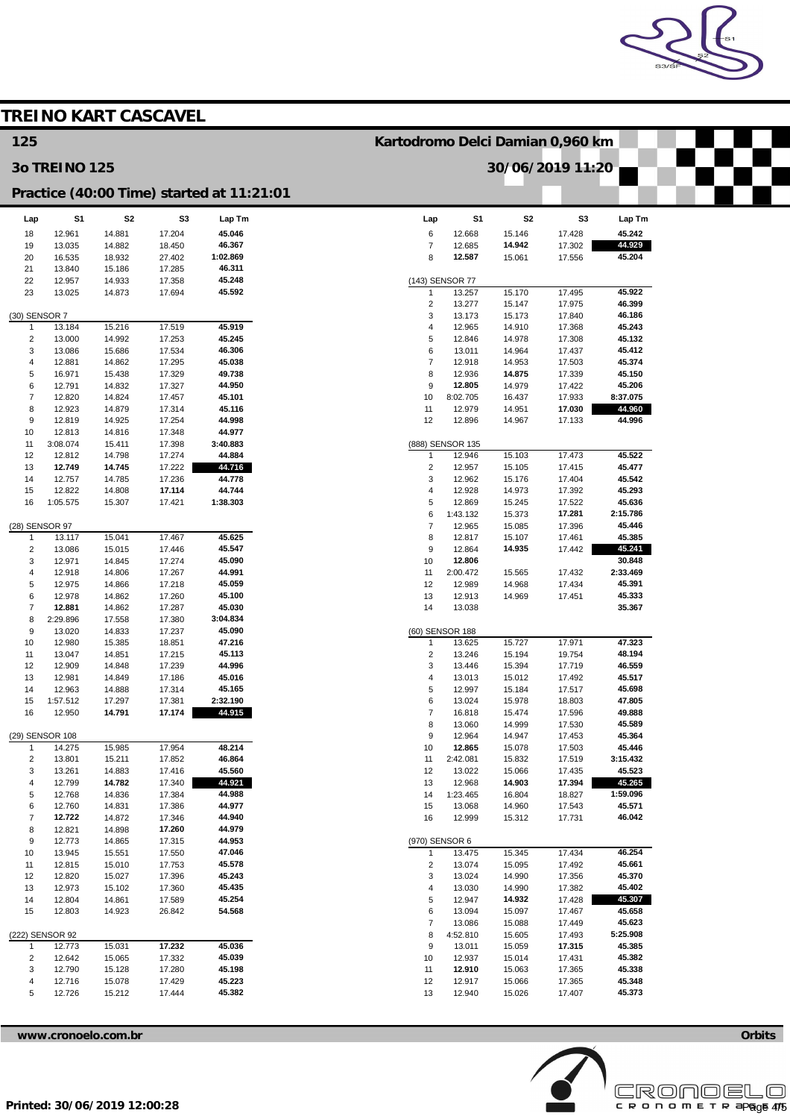

|                                |                      | <b>TREINO KART CASCAVEL</b> |                  |                                           |                                  |                    |                  |                  |                    |  |
|--------------------------------|----------------------|-----------------------------|------------------|-------------------------------------------|----------------------------------|--------------------|------------------|------------------|--------------------|--|
| 125                            |                      |                             |                  |                                           | Kartodromo Delci Damian 0,960 km |                    |                  |                  |                    |  |
|                                | <b>30 TREINO 125</b> |                             |                  |                                           |                                  |                    | 30/06/2019 11:20 |                  |                    |  |
|                                |                      |                             |                  | Practice (40:00 Time) started at 11:21:01 |                                  |                    |                  |                  |                    |  |
| Lap                            | S1                   | S <sub>2</sub>              | S <sub>3</sub>   | Lap Tm                                    | Lap                              | S1                 | S <sub>2</sub>   | S <sub>3</sub>   | Lap Tm             |  |
| 18<br>19                       | 12.961<br>13.035     | 14.881<br>14.882            | 17.204<br>18.450 | 45.046<br>46.367                          | 6<br>$\overline{7}$              | 12.668<br>12.685   | 15.146<br>14.942 | 17.428<br>17.302 | 45.242<br>44.929   |  |
| 20                             | 16.535               | 18.932                      | 27.402           | 1:02.869                                  | 8                                | 12.587             | 15.061           | 17.556           | 45.204             |  |
| 21                             | 13.840               | 15.186                      | 17.285           | 46.311                                    |                                  |                    |                  |                  |                    |  |
| 22<br>23                       | 12.957<br>13.025     | 14.933<br>14.873            | 17.358<br>17.694 | 45.248<br>45.592                          | (143) SENSOR 77<br>$\mathbf{1}$  | 13.257             | 15.170           | 17.495           | 45.922             |  |
|                                |                      |                             |                  |                                           | $\sqrt{2}$                       | 13.277             | 15.147           | 17.975           | 46.399             |  |
| (30) SENSOR 7<br>$\mathbf{1}$  | 13.184               | 15.216                      | 17.519           | 45.919                                    | 3<br>4                           | 13.173<br>12.965   | 15.173<br>14.910 | 17.840<br>17.368 | 46.186<br>45.243   |  |
| $\overline{2}$                 | 13.000               | 14.992                      | 17.253           | 45.245                                    | 5                                | 12.846             | 14.978           | 17.308           | 45.132             |  |
| 3                              | 13.086               | 15.686                      | 17.534           | 46.306                                    | 6                                | 13.011             | 14.964           | 17.437           | 45.412             |  |
| $\overline{4}$<br>5            | 12.881<br>16.971     | 14.862<br>15.438            | 17.295<br>17.329 | 45.038<br>49.738                          | $\overline{7}$<br>8              | 12.918<br>12.936   | 14.953<br>14.875 | 17.503<br>17.339 | 45.374<br>45.150   |  |
| 6                              | 12.791               | 14.832                      | 17.327           | 44.950                                    | 9                                | 12.805             | 14.979           | 17.422           | 45.206             |  |
| $\overline{7}$                 | 12.820               | 14.824                      | 17.457           | 45.101                                    | 10                               | 8:02.705           | 16.437           | 17.933           | 8:37.075           |  |
| 8<br>9                         | 12.923<br>12.819     | 14.879<br>14.925            | 17.314<br>17.254 | 45.116<br>44.998                          | 11<br>12                         | 12.979<br>12.896   | 14.951<br>14.967 | 17.030<br>17.133 | 44.960<br>44.996   |  |
| 10                             | 12.813               | 14.816                      | 17.348           | 44.977                                    |                                  |                    |                  |                  |                    |  |
| 11                             | 3:08.074             | 15.411                      | 17.398           | 3:40.883                                  | (888) SENSOR 135                 |                    |                  |                  |                    |  |
| 12<br>13                       | 12.812<br>12.749     | 14.798<br>14.745            | 17.274<br>17.222 | 44.884<br>44.716                          | $\overline{2}$                   | 12.946<br>12.957   | 15.103<br>15.105 | 17.473<br>17.415 | 45.522<br>45.477   |  |
| 14                             | 12.757               | 14.785                      | 17.236           | 44.778                                    | 3                                | 12.962             | 15.176           | 17.404           | 45.542             |  |
| 15                             | 12.822               | 14.808                      | 17.114           | 44.744                                    | 4                                | 12.928             | 14.973           | 17.392           | 45.293             |  |
| 16                             | 1:05.575             | 15.307                      | 17.421           | 1:38.303                                  | 5<br>6                           | 12.869             | 15.245           | 17.522<br>17.281 | 45.636<br>2:15.786 |  |
| (28) SENSOR 97                 |                      |                             |                  |                                           | $\overline{7}$                   | 1:43.132<br>12.965 | 15.373<br>15.085 | 17.396           | 45.446             |  |
| $\mathbf{1}$                   | 13.117               | 15.041                      | 17.467           | 45.625                                    | 8                                | 12.817             | 15.107           | 17.461           | 45.385             |  |
| $\overline{2}$                 | 13.086               | 15.015                      | 17.446           | 45.547                                    | 9                                | 12.864             | 14.935           | 17.442           | 45.241             |  |
| 3<br>$\overline{4}$            | 12.971<br>12.918     | 14.845<br>14.806            | 17.274<br>17.267 | 45.090<br>44.991                          | 10<br>11                         | 12.806<br>2:00.472 | 15.565           | 17.432           | 30.848<br>2:33.469 |  |
| 5                              | 12.975               | 14.866                      | 17.218           | 45.059                                    | 12                               | 12.989             | 14.968           | 17.434           | 45.391             |  |
| 6                              | 12.978               | 14.862                      | 17.260           | 45.100                                    | 13                               | 12.913             | 14.969           | 17.451           | 45.333             |  |
| $\overline{7}$<br>8            | 12.881<br>2:29.896   | 14.862<br>17.558            | 17.287<br>17.380 | 45.030<br>3:04.834                        | 14                               | 13.038             |                  |                  | 35.367             |  |
| 9                              | 13.020               | 14.833                      | 17.237           | 45.090                                    | (60) SENSOR 188                  |                    |                  |                  |                    |  |
| 10                             | 12.980               | 15.385                      | 18.851           | 47.216                                    | $\mathbf{1}$                     | 13.625             | 15.727           | 17.971           | 47.323             |  |
| 11<br>12                       | 13.047<br>12.909     | 14.851<br>14.848            | 17.215<br>17.239 | 45.113<br>44.996                          | $\overline{c}$<br>3              | 13.246<br>13.446   | 15.194<br>15.394 | 19.754<br>17.719 | 48.194<br>46.559   |  |
| 13                             | 12.981               | 14.849                      | 17.186           | 45.016                                    | 4                                | 13.013             | 15.012           | 17.492           | 45.517             |  |
| 14                             | 12.963               | 14.888                      | 17.314           | 45.165                                    | 5                                | 12.997             | 15.184           | 17.517           | 45.698             |  |
| 15<br>16                       | 1:57.512<br>12.950   | 17.297<br>14.791            | 17.381<br>17.174 | 2:32.190<br>44.915                        | 6<br>$\overline{7}$              | 13.024<br>16.818   | 15.978<br>15.474 | 18.803<br>17.596 | 47.805<br>49.888   |  |
|                                |                      |                             |                  |                                           | 8                                | 13.060             | 14.999           | 17.530           | 45.589             |  |
|                                | (29) SENSOR 108      |                             |                  |                                           | 9                                | 12.964             | 14.947           | 17.453           | 45.364             |  |
| $\mathbf{1}$<br>$\overline{2}$ | 14.275<br>13.801     | 15.985<br>15.211            | 17.954<br>17.852 | 48.214<br>46.864                          | 10<br>11                         | 12.865<br>2:42.081 | 15.078<br>15.832 | 17.503<br>17.519 | 45.446<br>3:15.432 |  |
| 3                              | 13.261               | 14.883                      | 17.416           | 45.560                                    | 12                               | 13.022             | 15.066           | 17.435           | 45.523             |  |
| $\overline{4}$                 | 12.799               | 14.782                      | 17.340           | 44.921                                    | 13                               | 12.968             | 14.903           | 17.394           | 45.265             |  |
| 5<br>6                         | 12.768<br>12.760     | 14.836<br>14.831            | 17.384<br>17.386 | 44.988<br>44.977                          | 14<br>15                         | 1:23.465<br>13.068 | 16.804<br>14.960 | 18.827<br>17.543 | 1:59.096<br>45.571 |  |
| $\overline{7}$                 | 12.722               | 14.872                      | 17.346           | 44.940                                    | 16                               | 12.999             | 15.312           | 17.731           | 46.042             |  |
| 8                              | 12.821               | 14.898                      | 17.260           | 44.979                                    |                                  |                    |                  |                  |                    |  |
| 9<br>10                        | 12.773<br>13.945     | 14.865<br>15.551            | 17.315<br>17.550 | 44.953<br>47.046                          | (970) SENSOR 6<br>$\mathbf{1}$   | 13.475             | 15.345           | 17.434           | 46.254             |  |
| 11                             | 12.815               | 15.010                      | 17.753           | 45.578                                    | $\overline{2}$                   | 13.074             | 15.095           | 17.492           | 45.661             |  |
| 12                             | 12.820               | 15.027                      | 17.396           | 45.243                                    | 3                                | 13.024             | 14.990           | 17.356           | 45.370             |  |
| 13                             | 12.973               | 15.102                      | 17.360           | 45.435                                    | 4                                | 13.030             | 14.990           | 17.382           | 45.402             |  |
| 14<br>15                       | 12.804<br>12.803     | 14.861<br>14.923            | 17.589<br>26.842 | 45.254<br>54.568                          | 5<br>6                           | 12.947<br>13.094   | 14.932<br>15.097 | 17.428<br>17.467 | 45.307<br>45.658   |  |
|                                |                      |                             |                  |                                           | $\overline{7}$                   | 13.086             | 15.088           | 17.449           | 45.623             |  |
|                                | (222) SENSOR 92      |                             |                  |                                           | 8                                | 4:52.810           | 15.605           | 17.493           | 5:25.908           |  |
| 1<br>$\overline{2}$            | 12.773<br>12.642     | 15.031<br>15.065            | 17.232<br>17.332 | 45.036<br>45.039                          | 9<br>10                          | 13.011<br>12.937   | 15.059<br>15.014 | 17.315<br>17.431 | 45.385<br>45.382   |  |
| 3                              | 12.790               | 15.128                      | 17.280           | 45.198                                    | 11                               | 12.910             | 15.063           | 17.365           | 45.338             |  |
| $\overline{4}$                 | 12.716               | 15.078                      | 17.429           | 45.223                                    | 12                               | 12.917             | 15.066           | 17.365           | 45.348             |  |
| 5                              | 12.726               | 15.212                      | 17.444           | 45.382                                    | 13                               | 12.940             | 15.026           | 17.407           | 45.373             |  |
|                                |                      |                             |                  |                                           |                                  |                    |                  |                  |                    |  |